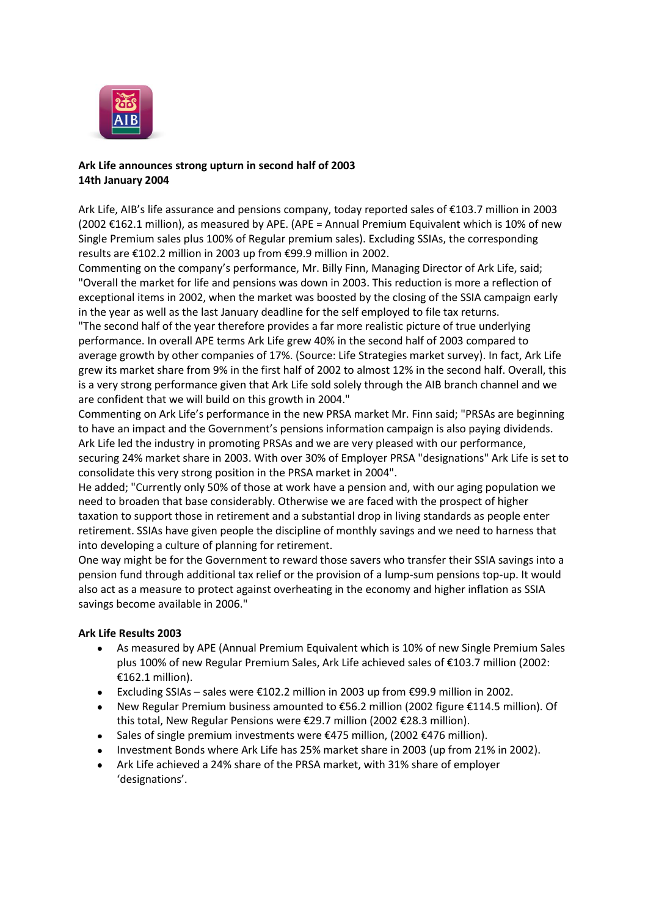

## **Ark Life announces strong upturn in second half of 2003 14th January 2004**

Ark Life, AIB's life assurance and pensions company, today reported sales of €103.7 million in 2003  $(2002 \text{ €}162.1 \text{ million})$ , as measured by APE.  $(APE =$  Annual Premium Equivalent which is 10% of new Single Premium sales plus 100% of Regular premium sales). Excluding SSIAs, the corresponding results are €102.2 million in 2003 up from €99.9 million in 2002.

Commenting on the company's performance, Mr. Billy Finn, Managing Director of Ark Life, said; "Overall the market for life and pensions was down in 2003. This reduction is more a reflection of exceptional items in 2002, when the market was boosted by the closing of the SSIA campaign early in the year as well as the last January deadline for the self employed to file tax returns.

"The second half of the year therefore provides a far more realistic picture of true underlying performance. In overall APE terms Ark Life grew 40% in the second half of 2003 compared to average growth by other companies of 17%. (Source: Life Strategies market survey). In fact, Ark Life grew its market share from 9% in the first half of 2002 to almost 12% in the second half. Overall, this is a very strong performance given that Ark Life sold solely through the AIB branch channel and we are confident that we will build on this growth in 2004."

Commenting on Ark Life's performance in the new PRSA market Mr. Finn said; "PRSAs are beginning to have an impact and the Government's pensions information campaign is also paying dividends. Ark Life led the industry in promoting PRSAs and we are very pleased with our performance, securing 24% market share in 2003. With over 30% of Employer PRSA "designations" Ark Life is set to consolidate this very strong position in the PRSA market in 2004".

He added; "Currently only 50% of those at work have a pension and, with our aging population we need to broaden that base considerably. Otherwise we are faced with the prospect of higher taxation to support those in retirement and a substantial drop in living standards as people enter retirement. SSIAs have given people the discipline of monthly savings and we need to harness that into developing a culture of planning for retirement.

One way might be for the Government to reward those savers who transfer their SSIA savings into a pension fund through additional tax relief or the provision of a lump-sum pensions top-up. It would also act as a measure to protect against overheating in the economy and higher inflation as SSIA savings become available in 2006."

## **Ark Life Results 2003**

- As measured by APE (Annual Premium Equivalent which is 10% of new Single Premium Sales  $\bullet$ plus 100% of new Regular Premium Sales, Ark Life achieved sales of €103.7 million (2002: €162.1 million).
- Excluding SSIAs sales were  $€102.2$  million in 2003 up from  $€99.9$  million in 2002.
- New Regular Premium business amounted to €56.2 million (2002 figure €114.5 million). Of this total, New Regular Pensions were €29.7 million (2002 €28.3 million).
- Sales of single premium investments were  $\epsilon$ 475 million, (2002 $\epsilon$ 476 million).
- Investment Bonds where Ark Life has 25% market share in 2003 (up from 21% in 2002).
- Ark Life achieved a 24% share of the PRSA market, with 31% share of employer 'designations'.